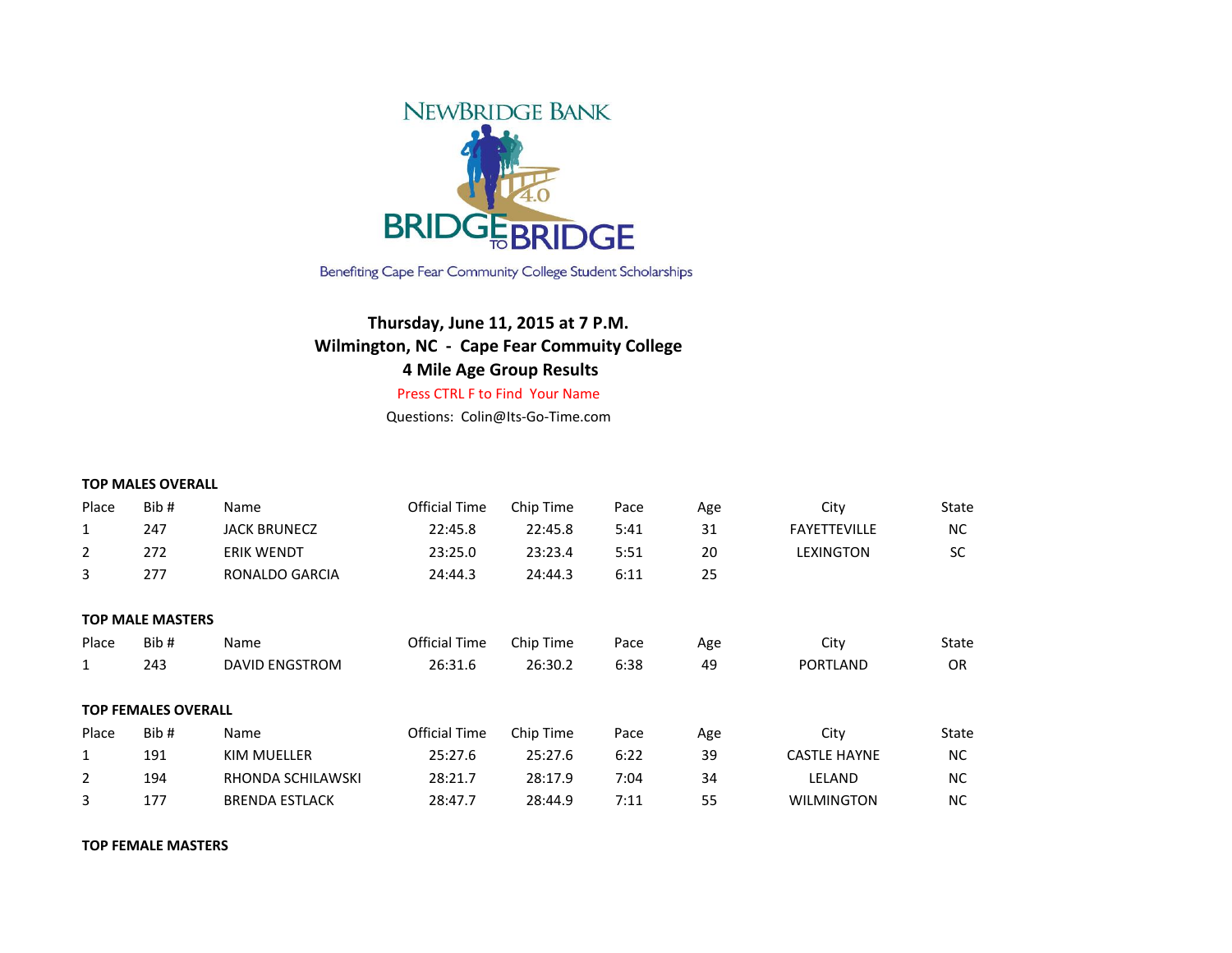

Benefiting Cape Fear Community College Student Scholarships

## **Thursday, June 11, 2015 at 7 P.M. Wilmington, NC - Cape Fear Commuity College 4 Mile Age Group Results**

Press CTRL F to Find Your Name

Questions: Colin@Its-Go-Time.com

|                | <b>TOP MALES OVERALL</b>   |                       |                      |           |      |     |                     |           |  |
|----------------|----------------------------|-----------------------|----------------------|-----------|------|-----|---------------------|-----------|--|
| Place          | Bib#                       | Name                  | Official Time        | Chip Time | Pace | Age | City                | State     |  |
| $\mathbf{1}$   | 247                        | <b>JACK BRUNECZ</b>   | 22:45.8              | 22:45.8   | 5:41 | 31  | <b>FAYETTEVILLE</b> | NC.       |  |
| $\overline{2}$ | 272                        | <b>ERIK WENDT</b>     | 23:25.0              | 23:23.4   | 5:51 | 20  | <b>LEXINGTON</b>    | <b>SC</b> |  |
| 3              | 277                        | RONALDO GARCIA        | 24:44.3              | 24:44.3   | 6:11 | 25  |                     |           |  |
|                |                            |                       |                      |           |      |     |                     |           |  |
|                | <b>TOP MALE MASTERS</b>    |                       |                      |           |      |     |                     |           |  |
| Place          | Bib#                       | Name                  | <b>Official Time</b> | Chip Time | Pace | Age | City                | State     |  |
| 1              | 243                        | <b>DAVID ENGSTROM</b> | 26:31.6              | 26:30.2   | 6:38 | 49  | <b>PORTLAND</b>     | <b>OR</b> |  |
|                |                            |                       |                      |           |      |     |                     |           |  |
|                | <b>TOP FEMALES OVERALL</b> |                       |                      |           |      |     |                     |           |  |
| Place          | Bib#                       | Name                  | Official Time        | Chip Time | Pace | Age | City                | State     |  |
| 1              | 191                        | KIM MUELLER           | 25:27.6              | 25:27.6   | 6:22 | 39  | <b>CASTLE HAYNE</b> | NC.       |  |
| $\overline{2}$ | 194                        | RHONDA SCHILAWSKI     | 28:21.7              | 28:17.9   | 7:04 | 34  | LELAND              | <b>NC</b> |  |
| 3              | 177                        | <b>BRENDA ESTLACK</b> | 28:47.7              | 28:44.9   | 7:11 | 55  | <b>WILMINGTON</b>   | NC.       |  |

**TOP FEMALE MASTERS**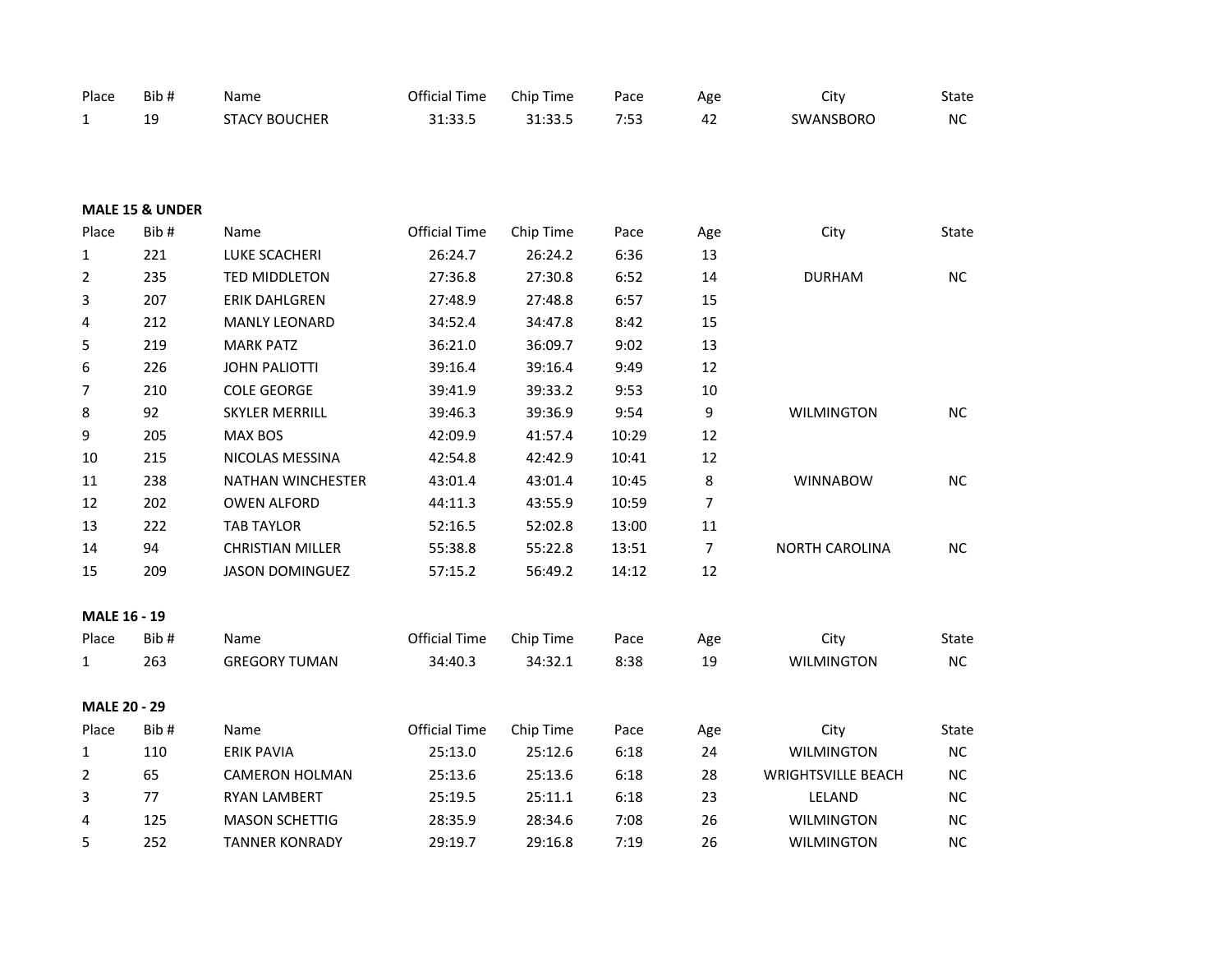| Place               | Bib#                       | Name                    | <b>Official Time</b> | Chip Time | Pace  | Age            | City                      | State        |
|---------------------|----------------------------|-------------------------|----------------------|-----------|-------|----------------|---------------------------|--------------|
| $\mathbf{1}$        | 19                         | <b>STACY BOUCHER</b>    | 31:33.5              | 31:33.5   | 7:53  | 42             | SWANSBORO                 | NC           |
|                     |                            |                         |                      |           |       |                |                           |              |
|                     |                            |                         |                      |           |       |                |                           |              |
|                     |                            |                         |                      |           |       |                |                           |              |
|                     | <b>MALE 15 &amp; UNDER</b> |                         |                      |           |       |                |                           |              |
| Place               | Bib#                       | Name                    | <b>Official Time</b> | Chip Time | Pace  | Age            | City                      | <b>State</b> |
| $\mathbf{1}$        | 221                        | LUKE SCACHERI           | 26:24.7              | 26:24.2   | 6:36  | 13             |                           |              |
| $\overline{2}$      | 235                        | TED MIDDLETON           | 27:36.8              | 27:30.8   | 6:52  | 14             | <b>DURHAM</b>             | NC.          |
| 3                   | 207                        | ERIK DAHLGREN           | 27:48.9              | 27:48.8   | 6:57  | 15             |                           |              |
| 4                   | 212                        | <b>MANLY LEONARD</b>    | 34:52.4              | 34:47.8   | 8:42  | 15             |                           |              |
| 5                   | 219                        | <b>MARK PATZ</b>        | 36:21.0              | 36:09.7   | 9:02  | 13             |                           |              |
| 6                   | 226                        | <b>JOHN PALIOTTI</b>    | 39:16.4              | 39:16.4   | 9:49  | 12             |                           |              |
| $\overline{7}$      | 210                        | <b>COLE GEORGE</b>      | 39:41.9              | 39:33.2   | 9:53  | 10             |                           |              |
| 8                   | 92                         | <b>SKYLER MERRILL</b>   | 39:46.3              | 39:36.9   | 9:54  | 9              | <b>WILMINGTON</b>         | NC           |
| 9                   | 205                        | <b>MAX BOS</b>          | 42:09.9              | 41:57.4   | 10:29 | 12             |                           |              |
| $10\,$              | 215                        | NICOLAS MESSINA         | 42:54.8              | 42:42.9   | 10:41 | 12             |                           |              |
| $11\,$              | 238                        | NATHAN WINCHESTER       | 43:01.4              | 43:01.4   | 10:45 | 8              | <b>WINNABOW</b>           | NC           |
| 12                  | 202                        | <b>OWEN ALFORD</b>      | 44:11.3              | 43:55.9   | 10:59 | $\overline{7}$ |                           |              |
| 13                  | 222                        | <b>TAB TAYLOR</b>       | 52:16.5              | 52:02.8   | 13:00 | 11             |                           |              |
| 14                  | 94                         | <b>CHRISTIAN MILLER</b> | 55:38.8              | 55:22.8   | 13:51 | $\overline{7}$ | <b>NORTH CAROLINA</b>     | NC           |
| 15                  | 209                        | <b>JASON DOMINGUEZ</b>  | 57:15.2              | 56:49.2   | 14:12 | 12             |                           |              |
|                     |                            |                         |                      |           |       |                |                           |              |
| MALE 16 - 19        |                            |                         |                      |           |       |                |                           |              |
| Place               | Bib#                       | Name                    | <b>Official Time</b> | Chip Time | Pace  | Age            | City                      | State        |
| $\mathbf{1}$        | 263                        | <b>GREGORY TUMAN</b>    | 34:40.3              | 34:32.1   | 8:38  | 19             | <b>WILMINGTON</b>         | NC           |
|                     |                            |                         |                      |           |       |                |                           |              |
| <b>MALE 20 - 29</b> |                            |                         |                      |           |       |                |                           |              |
| Place               | Bib#                       | Name                    | <b>Official Time</b> | Chip Time | Pace  | Age            | City                      | State        |
| $\mathbf{1}$        | 110                        | <b>ERIK PAVIA</b>       | 25:13.0              | 25:12.6   | 6:18  | 24             | <b>WILMINGTON</b>         | $NC$         |
| $\overline{2}$      | 65                         | <b>CAMERON HOLMAN</b>   | 25:13.6              | 25:13.6   | 6:18  | 28             | <b>WRIGHTSVILLE BEACH</b> | <b>NC</b>    |
| 3                   | 77                         | <b>RYAN LAMBERT</b>     | 25:19.5              | 25:11.1   | 6:18  | 23             | LELAND                    | $NC$         |
| 4                   | 125                        | <b>MASON SCHETTIG</b>   | 28:35.9              | 28:34.6   | 7:08  | 26             | <b>WILMINGTON</b>         | $NC$         |
| 5                   | 252                        | <b>TANNER KONRADY</b>   | 29:19.7              | 29:16.8   | 7:19  | 26             | <b>WILMINGTON</b>         | NC           |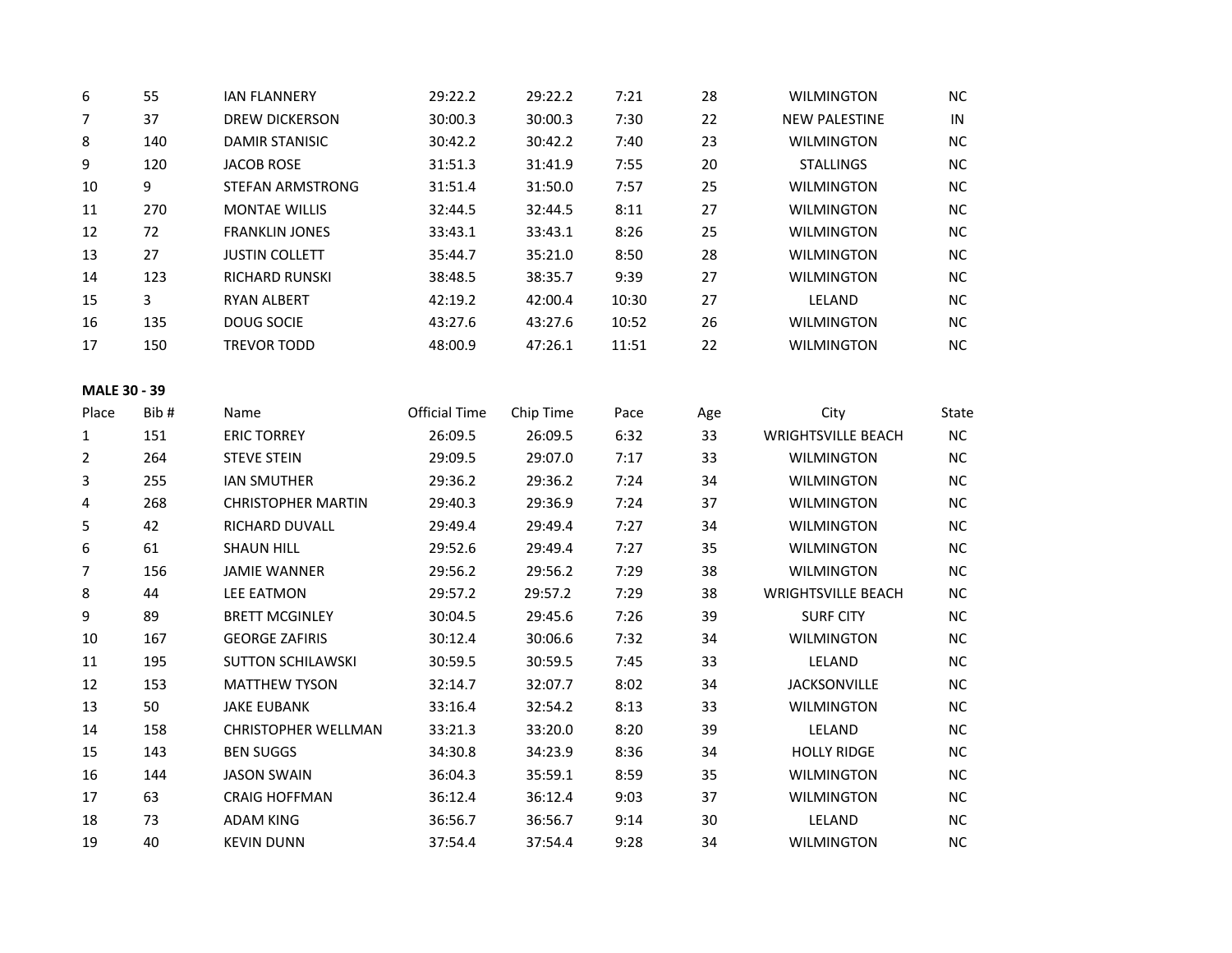| 6                   | 55             | <b>IAN FLANNERY</b>        | 29:22.2              | 29:22.2   | 7:21  | 28  | <b>WILMINGTON</b>         | <b>NC</b> |
|---------------------|----------------|----------------------------|----------------------|-----------|-------|-----|---------------------------|-----------|
| $\overline{7}$      | 37             | <b>DREW DICKERSON</b>      | 30:00.3              | 30:00.3   | 7:30  | 22  | <b>NEW PALESTINE</b>      | IN        |
| 8                   | 140            | <b>DAMIR STANISIC</b>      | 30:42.2              | 30:42.2   | 7:40  | 23  | <b>WILMINGTON</b>         | <b>NC</b> |
| 9                   | 120            | <b>JACOB ROSE</b>          | 31:51.3              | 31:41.9   | 7:55  | 20  | <b>STALLINGS</b>          | NC        |
| 10                  | 9              | STEFAN ARMSTRONG           | 31:51.4              | 31:50.0   | 7:57  | 25  | <b>WILMINGTON</b>         | <b>NC</b> |
| 11                  | 270            | <b>MONTAE WILLIS</b>       | 32:44.5              | 32:44.5   | 8:11  | 27  | <b>WILMINGTON</b>         | NC        |
| 12                  | 72             | <b>FRANKLIN JONES</b>      | 33:43.1              | 33:43.1   | 8:26  | 25  | <b>WILMINGTON</b>         | NC        |
| 13                  | 27             | <b>JUSTIN COLLETT</b>      | 35:44.7              | 35:21.0   | 8:50  | 28  | <b>WILMINGTON</b>         | NC        |
| 14                  | 123            | RICHARD RUNSKI             | 38:48.5              | 38:35.7   | 9:39  | 27  | <b>WILMINGTON</b>         | <b>NC</b> |
| 15                  | $\overline{3}$ | <b>RYAN ALBERT</b>         | 42:19.2              | 42:00.4   | 10:30 | 27  | LELAND                    | <b>NC</b> |
| 16                  | 135            | DOUG SOCIE                 | 43:27.6              | 43:27.6   | 10:52 | 26  | <b>WILMINGTON</b>         | NC        |
| 17                  | 150            | <b>TREVOR TODD</b>         | 48:00.9              | 47:26.1   | 11:51 | 22  | <b>WILMINGTON</b>         | NC        |
| <b>MALE 30 - 39</b> |                |                            |                      |           |       |     |                           |           |
| Place               | Bib#           | Name                       | <b>Official Time</b> | Chip Time | Pace  | Age | City                      | State     |
| 1                   | 151            | <b>ERIC TORREY</b>         | 26:09.5              | 26:09.5   | 6:32  | 33  | <b>WRIGHTSVILLE BEACH</b> | NC        |
| $\overline{2}$      | 264            | <b>STEVE STEIN</b>         | 29:09.5              | 29:07.0   | 7:17  | 33  | <b>WILMINGTON</b>         | NC        |
| 3                   | 255            | <b>IAN SMUTHER</b>         | 29:36.2              | 29:36.2   | 7:24  | 34  | <b>WILMINGTON</b>         | <b>NC</b> |
| 4                   | 268            | <b>CHRISTOPHER MARTIN</b>  | 29:40.3              | 29:36.9   | 7:24  | 37  | <b>WILMINGTON</b>         | NC        |
| 5                   | 42             | RICHARD DUVALL             | 29:49.4              | 29:49.4   | 7:27  | 34  | <b>WILMINGTON</b>         | <b>NC</b> |
| 6                   | 61             | <b>SHAUN HILL</b>          | 29:52.6              | 29:49.4   | 7:27  | 35  | <b>WILMINGTON</b>         | NC        |
| $\overline{7}$      | 156            | <b>JAMIE WANNER</b>        | 29:56.2              | 29:56.2   | 7:29  | 38  | <b>WILMINGTON</b>         | NC        |
| 8                   | 44             | <b>LEE EATMON</b>          | 29:57.2              | 29:57.2   | 7:29  | 38  | <b>WRIGHTSVILLE BEACH</b> | NC        |
| 9                   | 89             | <b>BRETT MCGINLEY</b>      | 30:04.5              | 29:45.6   | 7:26  | 39  | <b>SURF CITY</b>          | <b>NC</b> |
| 10                  | 167            | <b>GEORGE ZAFIRIS</b>      | 30:12.4              | 30:06.6   | 7:32  | 34  | <b>WILMINGTON</b>         | <b>NC</b> |
| 11                  | 195            | <b>SUTTON SCHILAWSKI</b>   | 30:59.5              | 30:59.5   | 7:45  | 33  | LELAND                    | NC        |
| 12                  | 153            | <b>MATTHEW TYSON</b>       | 32:14.7              | 32:07.7   | 8:02  | 34  | <b>JACKSONVILLE</b>       | NC        |
| 13                  | 50             | <b>JAKE EUBANK</b>         | 33:16.4              | 32:54.2   | 8:13  | 33  | <b>WILMINGTON</b>         | NC        |
| 14                  | 158            | <b>CHRISTOPHER WELLMAN</b> | 33:21.3              | 33:20.0   | 8:20  | 39  | LELAND                    | <b>NC</b> |
| 15                  | 143            | <b>BEN SUGGS</b>           | 34:30.8              | 34:23.9   | 8:36  | 34  | <b>HOLLY RIDGE</b>        | <b>NC</b> |
| 16                  | 144            | <b>JASON SWAIN</b>         | 36:04.3              | 35:59.1   | 8:59  | 35  | WILMINGTON                | <b>NC</b> |
| 17                  | 63             | <b>CRAIG HOFFMAN</b>       | 36:12.4              | 36:12.4   | 9:03  | 37  | WILMINGTON                | NC        |
| 18                  | 73             | <b>ADAM KING</b>           | 36:56.7              | 36:56.7   | 9:14  | 30  | LELAND                    | NC        |
| 19                  | 40             | <b>KEVIN DUNN</b>          | 37:54.4              | 37:54.4   | 9:28  | 34  | <b>WILMINGTON</b>         | NC        |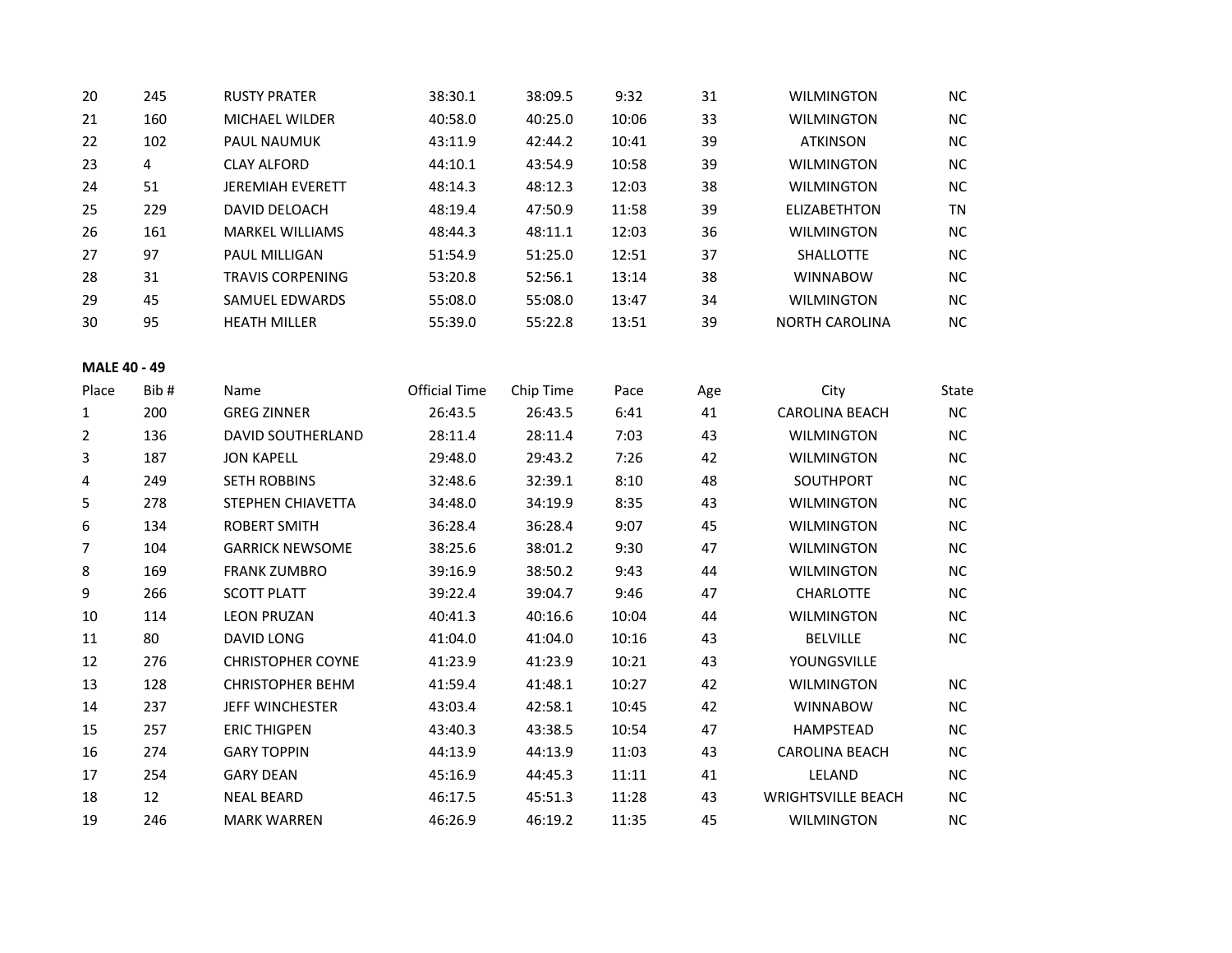| 20                  | 245  | <b>RUSTY PRATER</b>      | 38:30.1              | 38:09.5   | 9:32  | 31  | <b>WILMINGTON</b>         | NC        |
|---------------------|------|--------------------------|----------------------|-----------|-------|-----|---------------------------|-----------|
| 21                  | 160  | MICHAEL WILDER           | 40:58.0              | 40:25.0   | 10:06 | 33  | <b>WILMINGTON</b>         | NC        |
| 22                  | 102  | PAUL NAUMUK              | 43:11.9              | 42:44.2   | 10:41 | 39  | <b>ATKINSON</b>           | NC        |
| 23                  | 4    | <b>CLAY ALFORD</b>       | 44:10.1              | 43:54.9   | 10:58 | 39  | <b>WILMINGTON</b>         | <b>NC</b> |
| 24                  | 51   | JEREMIAH EVERETT         | 48:14.3              | 48:12.3   | 12:03 | 38  | <b>WILMINGTON</b>         | NC        |
| 25                  | 229  | DAVID DELOACH            | 48:19.4              | 47:50.9   | 11:58 | 39  | ELIZABETHTON              | TN        |
| 26                  | 161  | <b>MARKEL WILLIAMS</b>   | 48:44.3              | 48:11.1   | 12:03 | 36  | <b>WILMINGTON</b>         | <b>NC</b> |
| 27                  | 97   | PAUL MILLIGAN            | 51:54.9              | 51:25.0   | 12:51 | 37  | SHALLOTTE                 | NC        |
| 28                  | 31   | <b>TRAVIS CORPENING</b>  | 53:20.8              | 52:56.1   | 13:14 | 38  | <b>WINNABOW</b>           | <b>NC</b> |
| 29                  | 45   | SAMUEL EDWARDS           | 55:08.0              | 55:08.0   | 13:47 | 34  | <b>WILMINGTON</b>         | NC        |
| 30                  | 95   | <b>HEATH MILLER</b>      | 55:39.0              | 55:22.8   | 13:51 | 39  | <b>NORTH CAROLINA</b>     | <b>NC</b> |
| <b>MALE 40 - 49</b> |      |                          |                      |           |       |     |                           |           |
| Place               | Bib# | Name                     | <b>Official Time</b> | Chip Time | Pace  | Age | City                      | State     |
| 1                   | 200  | <b>GREG ZINNER</b>       | 26:43.5              | 26:43.5   | 6:41  | 41  | <b>CAROLINA BEACH</b>     | NC        |
| 2                   | 136  | DAVID SOUTHERLAND        | 28:11.4              | 28:11.4   | 7:03  | 43  | <b>WILMINGTON</b>         | <b>NC</b> |
| 3                   | 187  | <b>JON KAPELL</b>        | 29:48.0              | 29:43.2   | 7:26  | 42  | <b>WILMINGTON</b>         | <b>NC</b> |
| 4                   | 249  | <b>SETH ROBBINS</b>      | 32:48.6              | 32:39.1   | 8:10  | 48  | SOUTHPORT                 | <b>NC</b> |
| 5                   | 278  | STEPHEN CHIAVETTA        | 34:48.0              | 34:19.9   | 8:35  | 43  | <b>WILMINGTON</b>         | NC        |
| 6                   | 134  | <b>ROBERT SMITH</b>      | 36:28.4              | 36:28.4   | 9:07  | 45  | <b>WILMINGTON</b>         | <b>NC</b> |
| 7                   | 104  | <b>GARRICK NEWSOME</b>   | 38:25.6              | 38:01.2   | 9:30  | 47  | <b>WILMINGTON</b>         | NC        |
| 8                   | 169  | <b>FRANK ZUMBRO</b>      | 39:16.9              | 38:50.2   | 9:43  | 44  | <b>WILMINGTON</b>         | <b>NC</b> |
| 9                   | 266  | <b>SCOTT PLATT</b>       | 39:22.4              | 39:04.7   | 9:46  | 47  | CHARLOTTE                 | NC        |
| 10                  | 114  | <b>LEON PRUZAN</b>       | 40:41.3              | 40:16.6   | 10:04 | 44  | <b>WILMINGTON</b>         | <b>NC</b> |
| 11                  | 80   | <b>DAVID LONG</b>        | 41:04.0              | 41:04.0   | 10:16 | 43  | <b>BELVILLE</b>           | NC        |
| 12                  | 276  | <b>CHRISTOPHER COYNE</b> | 41:23.9              | 41:23.9   | 10:21 | 43  | YOUNGSVILLE               |           |
| 13                  | 128  | <b>CHRISTOPHER BEHM</b>  | 41:59.4              | 41:48.1   | 10:27 | 42  | <b>WILMINGTON</b>         | <b>NC</b> |
| 14                  | 237  | JEFF WINCHESTER          | 43:03.4              | 42:58.1   | 10:45 | 42  | <b>WINNABOW</b>           | NC        |
| 15                  | 257  | <b>ERIC THIGPEN</b>      | 43:40.3              | 43:38.5   | 10:54 | 47  | <b>HAMPSTEAD</b>          | <b>NC</b> |
| 16                  | 274  | <b>GARY TOPPIN</b>       | 44:13.9              | 44:13.9   | 11:03 | 43  | <b>CAROLINA BEACH</b>     | NC        |
| 17                  | 254  | <b>GARY DEAN</b>         | 45:16.9              | 44:45.3   | 11:11 | 41  | LELAND                    | <b>NC</b> |
| 18                  | 12   | <b>NEAL BEARD</b>        | 46:17.5              | 45:51.3   | 11:28 | 43  | <b>WRIGHTSVILLE BEACH</b> | NC        |
| 19                  | 246  | <b>MARK WARREN</b>       | 46:26.9              | 46:19.2   | 11:35 | 45  | WILMINGTON                | <b>NC</b> |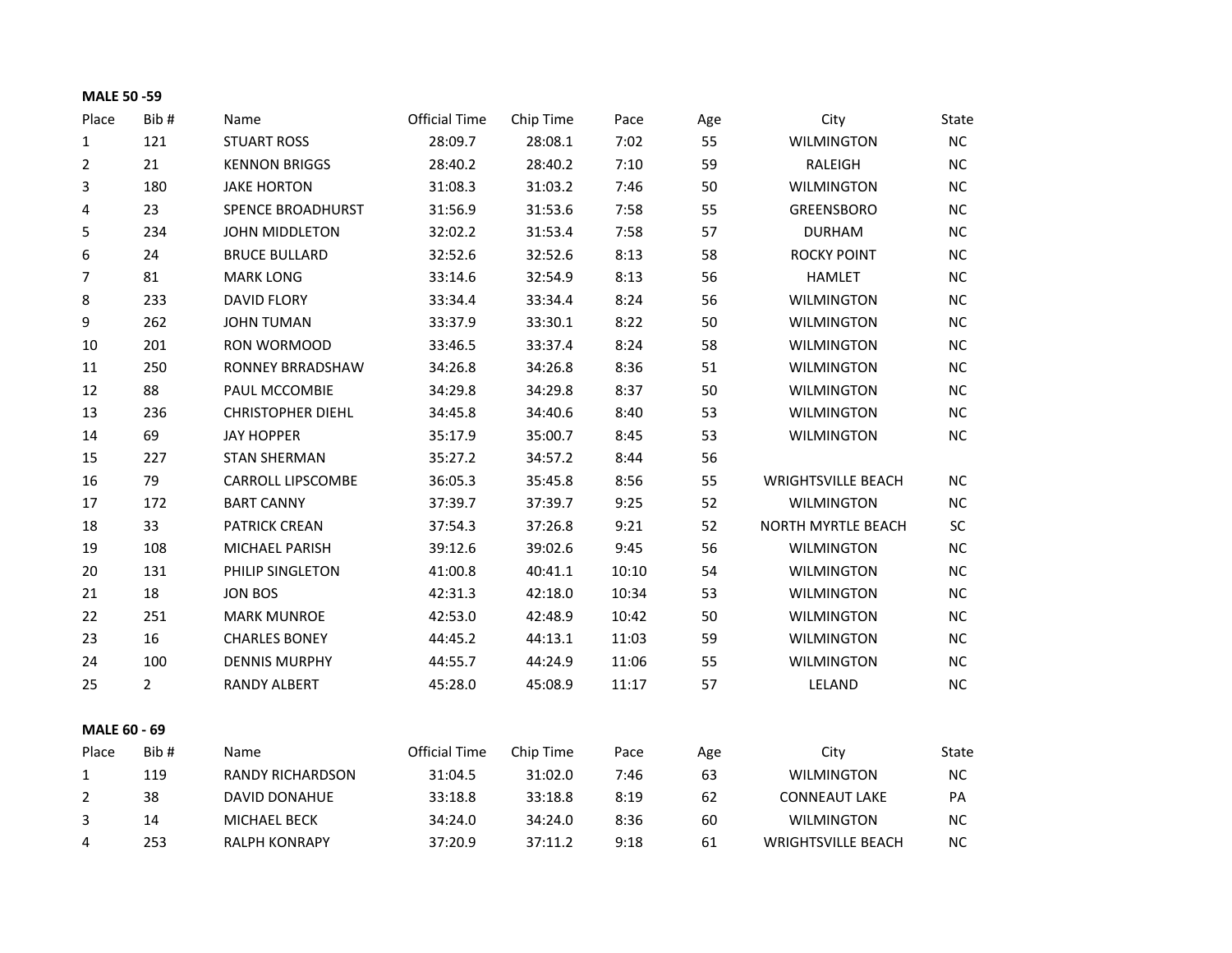| <b>MALE 50 -59</b> |                |                          |                      |           |       |     |                           |           |
|--------------------|----------------|--------------------------|----------------------|-----------|-------|-----|---------------------------|-----------|
| Place              | Bib#           | Name                     | <b>Official Time</b> | Chip Time | Pace  | Age | City                      | State     |
| 1                  | 121            | <b>STUART ROSS</b>       | 28:09.7              | 28:08.1   | 7:02  | 55  | <b>WILMINGTON</b>         | NC        |
| $\overline{2}$     | 21             | <b>KENNON BRIGGS</b>     | 28:40.2              | 28:40.2   | 7:10  | 59  | RALEIGH                   | <b>NC</b> |
| 3                  | 180            | <b>JAKE HORTON</b>       | 31:08.3              | 31:03.2   | 7:46  | 50  | <b>WILMINGTON</b>         | <b>NC</b> |
| 4                  | 23             | SPENCE BROADHURST        | 31:56.9              | 31:53.6   | 7:58  | 55  | <b>GREENSBORO</b>         | <b>NC</b> |
| 5                  | 234            | JOHN MIDDLETON           | 32:02.2              | 31:53.4   | 7:58  | 57  | <b>DURHAM</b>             | <b>NC</b> |
| 6                  | 24             | <b>BRUCE BULLARD</b>     | 32:52.6              | 32:52.6   | 8:13  | 58  | <b>ROCKY POINT</b>        | <b>NC</b> |
| 7                  | 81             | <b>MARK LONG</b>         | 33:14.6              | 32:54.9   | 8:13  | 56  | <b>HAMLET</b>             | <b>NC</b> |
| 8                  | 233            | <b>DAVID FLORY</b>       | 33:34.4              | 33:34.4   | 8:24  | 56  | <b>WILMINGTON</b>         | <b>NC</b> |
| 9                  | 262            | <b>JOHN TUMAN</b>        | 33:37.9              | 33:30.1   | 8:22  | 50  | <b>WILMINGTON</b>         | <b>NC</b> |
| 10                 | 201            | RON WORMOOD              | 33:46.5              | 33:37.4   | 8:24  | 58  | <b>WILMINGTON</b>         | <b>NC</b> |
| 11                 | 250            | RONNEY BRRADSHAW         | 34:26.8              | 34:26.8   | 8:36  | 51  | <b>WILMINGTON</b>         | <b>NC</b> |
| 12                 | 88             | PAUL MCCOMBIE            | 34:29.8              | 34:29.8   | 8:37  | 50  | <b>WILMINGTON</b>         | <b>NC</b> |
| 13                 | 236            | <b>CHRISTOPHER DIEHL</b> | 34:45.8              | 34:40.6   | 8:40  | 53  | <b>WILMINGTON</b>         | <b>NC</b> |
| 14                 | 69             | <b>JAY HOPPER</b>        | 35:17.9              | 35:00.7   | 8:45  | 53  | <b>WILMINGTON</b>         | NC        |
| 15                 | 227            | <b>STAN SHERMAN</b>      | 35:27.2              | 34:57.2   | 8:44  | 56  |                           |           |
| 16                 | 79             | CARROLL LIPSCOMBE        | 36:05.3              | 35:45.8   | 8:56  | 55  | <b>WRIGHTSVILLE BEACH</b> | <b>NC</b> |
| 17                 | 172            | <b>BART CANNY</b>        | 37:39.7              | 37:39.7   | 9:25  | 52  | <b>WILMINGTON</b>         | <b>NC</b> |
| 18                 | 33             | <b>PATRICK CREAN</b>     | 37:54.3              | 37:26.8   | 9:21  | 52  | NORTH MYRTLE BEACH        | SC        |
| 19                 | 108            | MICHAEL PARISH           | 39:12.6              | 39:02.6   | 9:45  | 56  | <b>WILMINGTON</b>         | <b>NC</b> |
| 20                 | 131            | PHILIP SINGLETON         | 41:00.8              | 40:41.1   | 10:10 | 54  | <b>WILMINGTON</b>         | <b>NC</b> |
| 21                 | 18             | <b>JON BOS</b>           | 42:31.3              | 42:18.0   | 10:34 | 53  | <b>WILMINGTON</b>         | <b>NC</b> |
| 22                 | 251            | <b>MARK MUNROE</b>       | 42:53.0              | 42:48.9   | 10:42 | 50  | <b>WILMINGTON</b>         | <b>NC</b> |
| 23                 | 16             | <b>CHARLES BONEY</b>     | 44:45.2              | 44:13.1   | 11:03 | 59  | <b>WILMINGTON</b>         | <b>NC</b> |
| 24                 | 100            | <b>DENNIS MURPHY</b>     | 44:55.7              | 44:24.9   | 11:06 | 55  | <b>WILMINGTON</b>         | <b>NC</b> |
| 25                 | $\overline{2}$ | RANDY ALBERT             | 45:28.0              | 45:08.9   | 11:17 | 57  | LELAND                    | NC.       |
| MALE 60 - 69       |                |                          |                      |           |       |     |                           |           |
| Place              | Bib#           | Name                     | <b>Official Time</b> | Chip Time | Pace  | Age | City                      | State     |
| 1                  | 119            | <b>RANDY RICHARDSON</b>  | 31:04.5              | 31:02.0   | 7:46  | 63  | <b>WILMINGTON</b>         | NC        |
| $\overline{2}$     | 38             | DAVID DONAHUE            | 33:18.8              | 33:18.8   | 8:19  | 62  | <b>CONNEAUT LAKE</b>      | PA        |
| 3                  | 14             | MICHAEL BECK             | 34:24.0              | 34:24.0   | 8:36  | 60  | <b>WILMINGTON</b>         | <b>NC</b> |
| 4                  | 253            | <b>RALPH KONRAPY</b>     | 37:20.9              | 37:11.2   | 9:18  | 61  | <b>WRIGHTSVILLE BEACH</b> | <b>NC</b> |
|                    |                |                          |                      |           |       |     |                           |           |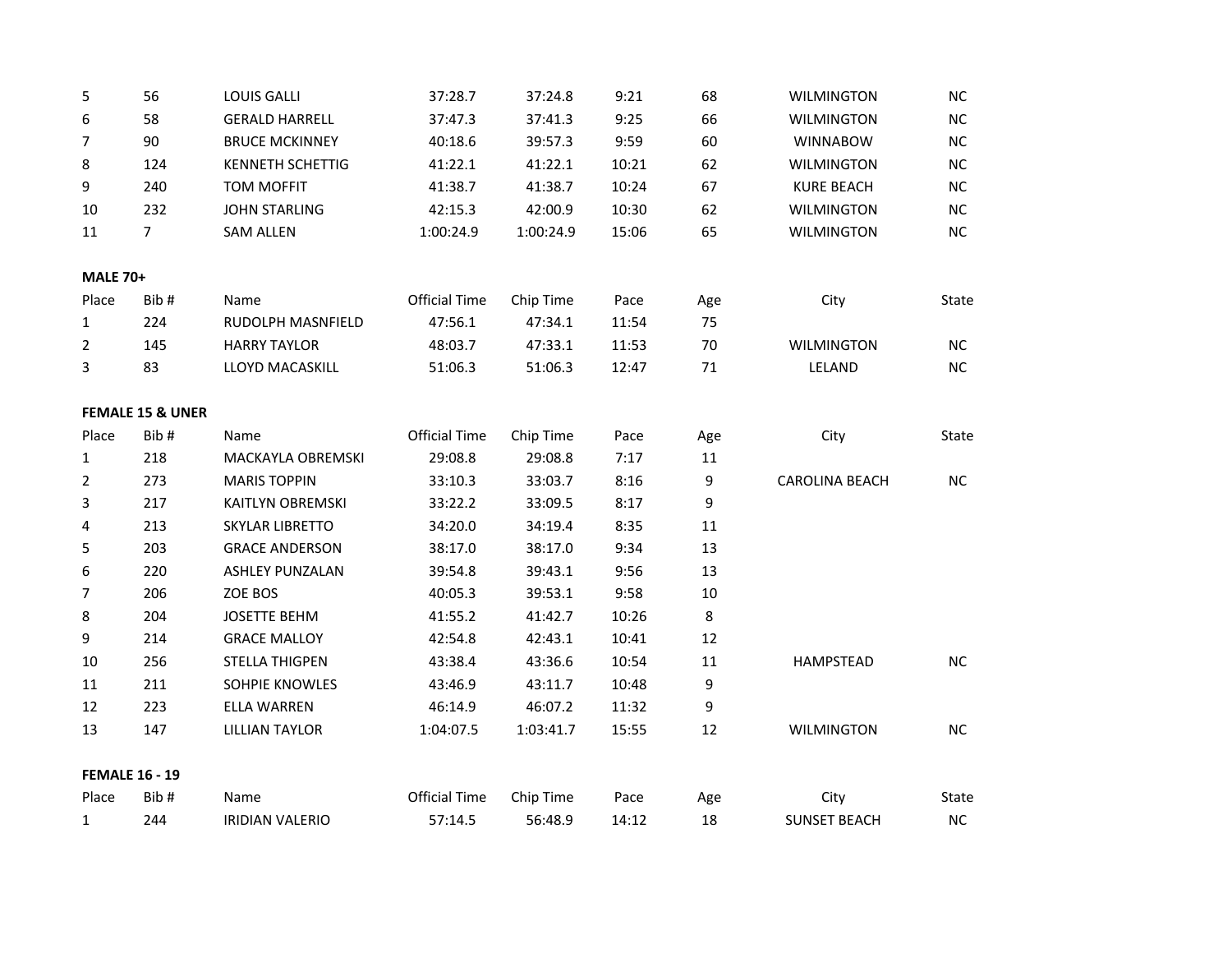| 5               | 56                          | <b>LOUIS GALLI</b>      | 37:28.7              | 37:24.8   | 9:21  | 68     | <b>WILMINGTON</b>     | <b>NC</b> |
|-----------------|-----------------------------|-------------------------|----------------------|-----------|-------|--------|-----------------------|-----------|
| 6               | 58                          | <b>GERALD HARRELL</b>   | 37:47.3              | 37:41.3   | 9:25  | 66     | <b>WILMINGTON</b>     | $NC$      |
| $\overline{7}$  | 90                          | <b>BRUCE MCKINNEY</b>   | 40:18.6              | 39:57.3   | 9:59  | 60     | <b>WINNABOW</b>       | <b>NC</b> |
| 8               | 124                         | <b>KENNETH SCHETTIG</b> | 41:22.1              | 41:22.1   | 10:21 | 62     | <b>WILMINGTON</b>     | <b>NC</b> |
| 9               | 240                         | <b>TOM MOFFIT</b>       | 41:38.7              | 41:38.7   | 10:24 | 67     | <b>KURE BEACH</b>     | NC        |
| 10              | 232                         | <b>JOHN STARLING</b>    | 42:15.3              | 42:00.9   | 10:30 | 62     | <b>WILMINGTON</b>     | <b>NC</b> |
| 11              | $\overline{7}$              | <b>SAM ALLEN</b>        | 1:00:24.9            | 1:00:24.9 | 15:06 | 65     | <b>WILMINGTON</b>     | <b>NC</b> |
| <b>MALE 70+</b> |                             |                         |                      |           |       |        |                       |           |
| Place           | Bib#                        | Name                    | <b>Official Time</b> | Chip Time | Pace  | Age    | City                  | State     |
| $\mathbf{1}$    | 224                         | RUDOLPH MASNFIELD       | 47:56.1              | 47:34.1   | 11:54 | 75     |                       |           |
| $\overline{2}$  | 145                         | <b>HARRY TAYLOR</b>     | 48:03.7              | 47:33.1   | 11:53 | 70     | <b>WILMINGTON</b>     | <b>NC</b> |
| 3               | 83                          | LLOYD MACASKILL         | 51:06.3              | 51:06.3   | 12:47 | 71     | LELAND                | NC        |
|                 | <b>FEMALE 15 &amp; UNER</b> |                         |                      |           |       |        |                       |           |
| Place           | Bib#                        | Name                    | <b>Official Time</b> | Chip Time | Pace  | Age    | City                  | State     |
| $\mathbf{1}$    | 218                         | MACKAYLA OBREMSKI       | 29:08.8              | 29:08.8   | 7:17  | 11     |                       |           |
| $\overline{2}$  | 273                         | <b>MARIS TOPPIN</b>     | 33:10.3              | 33:03.7   | 8:16  | 9      | <b>CAROLINA BEACH</b> | <b>NC</b> |
| $\overline{3}$  | 217                         | KAITLYN OBREMSKI        | 33:22.2              | 33:09.5   | 8:17  | 9      |                       |           |
| 4               | 213                         | <b>SKYLAR LIBRETTO</b>  | 34:20.0              | 34:19.4   | 8:35  | $11\,$ |                       |           |
| 5               | 203                         | <b>GRACE ANDERSON</b>   | 38:17.0              | 38:17.0   | 9:34  | 13     |                       |           |
| 6               | 220                         | <b>ASHLEY PUNZALAN</b>  | 39:54.8              | 39:43.1   | 9:56  | 13     |                       |           |
| $\overline{7}$  | 206                         | ZOE BOS                 | 40:05.3              | 39:53.1   | 9:58  | 10     |                       |           |
| 8               | 204                         | <b>JOSETTE BEHM</b>     | 41:55.2              | 41:42.7   | 10:26 | 8      |                       |           |
| 9               | 214                         | <b>GRACE MALLOY</b>     | 42:54.8              | 42:43.1   | 10:41 | 12     |                       |           |
| 10              | 256                         | <b>STELLA THIGPEN</b>   | 43:38.4              | 43:36.6   | 10:54 | $11\,$ | <b>HAMPSTEAD</b>      | NC        |
| 11              | 211                         | SOHPIE KNOWLES          | 43:46.9              | 43:11.7   | 10:48 | 9      |                       |           |
| 12              | 223                         | <b>ELLA WARREN</b>      | 46:14.9              | 46:07.2   | 11:32 | 9      |                       |           |
| 13              | 147                         | <b>LILLIAN TAYLOR</b>   | 1:04:07.5            | 1:03:41.7 | 15:55 | 12     | <b>WILMINGTON</b>     | <b>NC</b> |
|                 | <b>FEMALE 16 - 19</b>       |                         |                      |           |       |        |                       |           |
| Place           | Bib#                        | Name                    | <b>Official Time</b> | Chip Time | Pace  | Age    | City                  | State     |
| 1               | 244                         | <b>IRIDIAN VALERIO</b>  | 57:14.5              | 56:48.9   | 14:12 | 18     | <b>SUNSET BEACH</b>   | <b>NC</b> |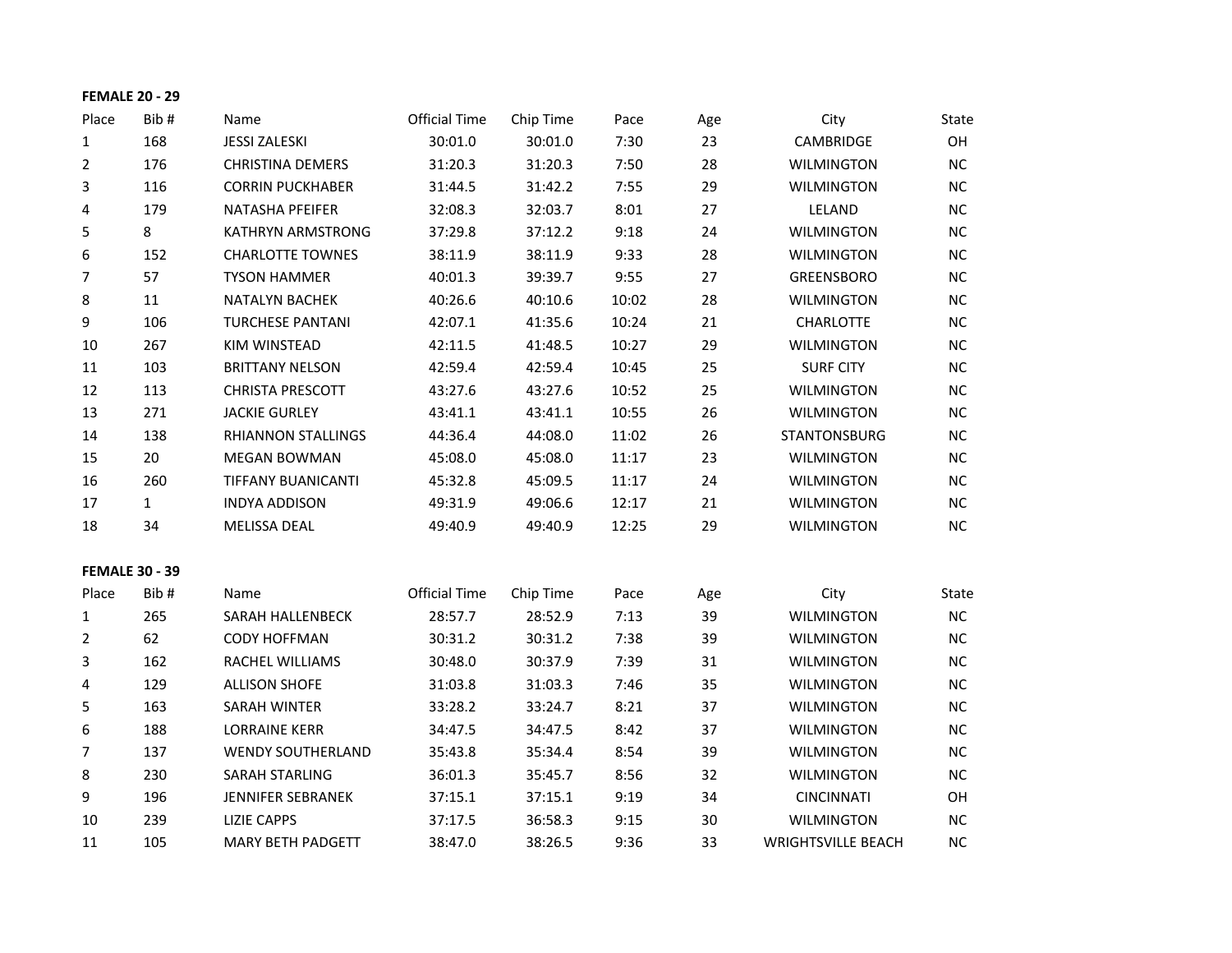|                | <b>FEMALE 20 - 29</b> |                           |                      |           |       |     |                           |           |
|----------------|-----------------------|---------------------------|----------------------|-----------|-------|-----|---------------------------|-----------|
| Place          | Bib#                  | Name                      | <b>Official Time</b> | Chip Time | Pace  | Age | City                      | State     |
| $\mathbf{1}$   | 168                   | <b>JESSI ZALESKI</b>      | 30:01.0              | 30:01.0   | 7:30  | 23  | CAMBRIDGE                 | OH        |
| $\overline{2}$ | 176                   | <b>CHRISTINA DEMERS</b>   | 31:20.3              | 31:20.3   | 7:50  | 28  | <b>WILMINGTON</b>         | NC        |
| 3              | 116                   | <b>CORRIN PUCKHABER</b>   | 31:44.5              | 31:42.2   | 7:55  | 29  | <b>WILMINGTON</b>         | NC        |
| 4              | 179                   | <b>NATASHA PFEIFER</b>    | 32:08.3              | 32:03.7   | 8:01  | 27  | LELAND                    | $NC$      |
| 5              | 8                     | KATHRYN ARMSTRONG         | 37:29.8              | 37:12.2   | 9:18  | 24  | <b>WILMINGTON</b>         | NC        |
| 6              | 152                   | <b>CHARLOTTE TOWNES</b>   | 38:11.9              | 38:11.9   | 9:33  | 28  | <b>WILMINGTON</b>         | NC        |
| 7              | 57                    | <b>TYSON HAMMER</b>       | 40:01.3              | 39:39.7   | 9:55  | 27  | GREENSBORO                | $NC$      |
| 8              | 11                    | <b>NATALYN BACHEK</b>     | 40:26.6              | 40:10.6   | 10:02 | 28  | <b>WILMINGTON</b>         | $NC$      |
| 9              | 106                   | <b>TURCHESE PANTANI</b>   | 42:07.1              | 41:35.6   | 10:24 | 21  | <b>CHARLOTTE</b>          | <b>NC</b> |
| 10             | 267                   | KIM WINSTEAD              | 42:11.5              | 41:48.5   | 10:27 | 29  | <b>WILMINGTON</b>         | $NC$      |
| 11             | 103                   | <b>BRITTANY NELSON</b>    | 42:59.4              | 42:59.4   | 10:45 | 25  | <b>SURF CITY</b>          | NC        |
| 12             | 113                   | <b>CHRISTA PRESCOTT</b>   | 43:27.6              | 43:27.6   | 10:52 | 25  | <b>WILMINGTON</b>         | <b>NC</b> |
| 13             | 271                   | <b>JACKIE GURLEY</b>      | 43:41.1              | 43:41.1   | 10:55 | 26  | <b>WILMINGTON</b>         | NC.       |
| 14             | 138                   | RHIANNON STALLINGS        | 44:36.4              | 44:08.0   | 11:02 | 26  | STANTONSBURG              | NC        |
| 15             | 20                    | <b>MEGAN BOWMAN</b>       | 45:08.0              | 45:08.0   | 11:17 | 23  | <b>WILMINGTON</b>         | <b>NC</b> |
| 16             | 260                   | <b>TIFFANY BUANICANTI</b> | 45:32.8              | 45:09.5   | 11:17 | 24  | <b>WILMINGTON</b>         | $NC$      |
| 17             | $\mathbf{1}$          | <b>INDYA ADDISON</b>      | 49:31.9              | 49:06.6   | 12:17 | 21  | <b>WILMINGTON</b>         | NC        |
| 18             | 34                    | MELISSA DEAL              | 49:40.9              | 49:40.9   | 12:25 | 29  | <b>WILMINGTON</b>         | NC        |
|                | <b>FEMALE 30 - 39</b> |                           |                      |           |       |     |                           |           |
| Place          | Bib#                  | Name                      | <b>Official Time</b> | Chip Time | Pace  | Age | City                      | State     |
| $\mathbf{1}$   | 265                   | SARAH HALLENBECK          | 28:57.7              | 28:52.9   | 7:13  | 39  | <b>WILMINGTON</b>         | NC        |
| $\overline{2}$ | 62                    | <b>CODY HOFFMAN</b>       | 30:31.2              | 30:31.2   | 7:38  | 39  | WILMINGTON                | $NC$      |
| 3              | 162                   | RACHEL WILLIAMS           | 30:48.0              | 30:37.9   | 7:39  | 31  | <b>WILMINGTON</b>         | NC        |
| 4              | 129                   | <b>ALLISON SHOFE</b>      | 31:03.8              | 31:03.3   | 7:46  | 35  | <b>WILMINGTON</b>         | $NC$      |
| 5              | 163                   | SARAH WINTER              | 33:28.2              | 33:24.7   | 8:21  | 37  | <b>WILMINGTON</b>         | NC        |
| 6              | 188                   | <b>LORRAINE KERR</b>      | 34:47.5              | 34:47.5   | 8:42  | 37  | <b>WILMINGTON</b>         | NC        |
| $\overline{7}$ | 137                   | <b>WENDY SOUTHERLAND</b>  | 35:43.8              | 35:34.4   | 8:54  | 39  | <b>WILMINGTON</b>         | <b>NC</b> |
| 8              | 230                   | <b>SARAH STARLING</b>     | 36:01.3              | 35:45.7   | 8:56  | 32  | <b>WILMINGTON</b>         | NC        |
| 9              | 196                   | JENNIFER SEBRANEK         | 37:15.1              | 37:15.1   | 9:19  | 34  | <b>CINCINNATI</b>         | OH        |
| 10             | 239                   | <b>LIZIE CAPPS</b>        | 37:17.5              | 36:58.3   | 9:15  | 30  | <b>WILMINGTON</b>         | NC        |
| 11             | 105                   | <b>MARY BETH PADGETT</b>  | 38:47.0              | 38:26.5   | 9:36  | 33  | <b>WRIGHTSVILLE BEACH</b> | NC.       |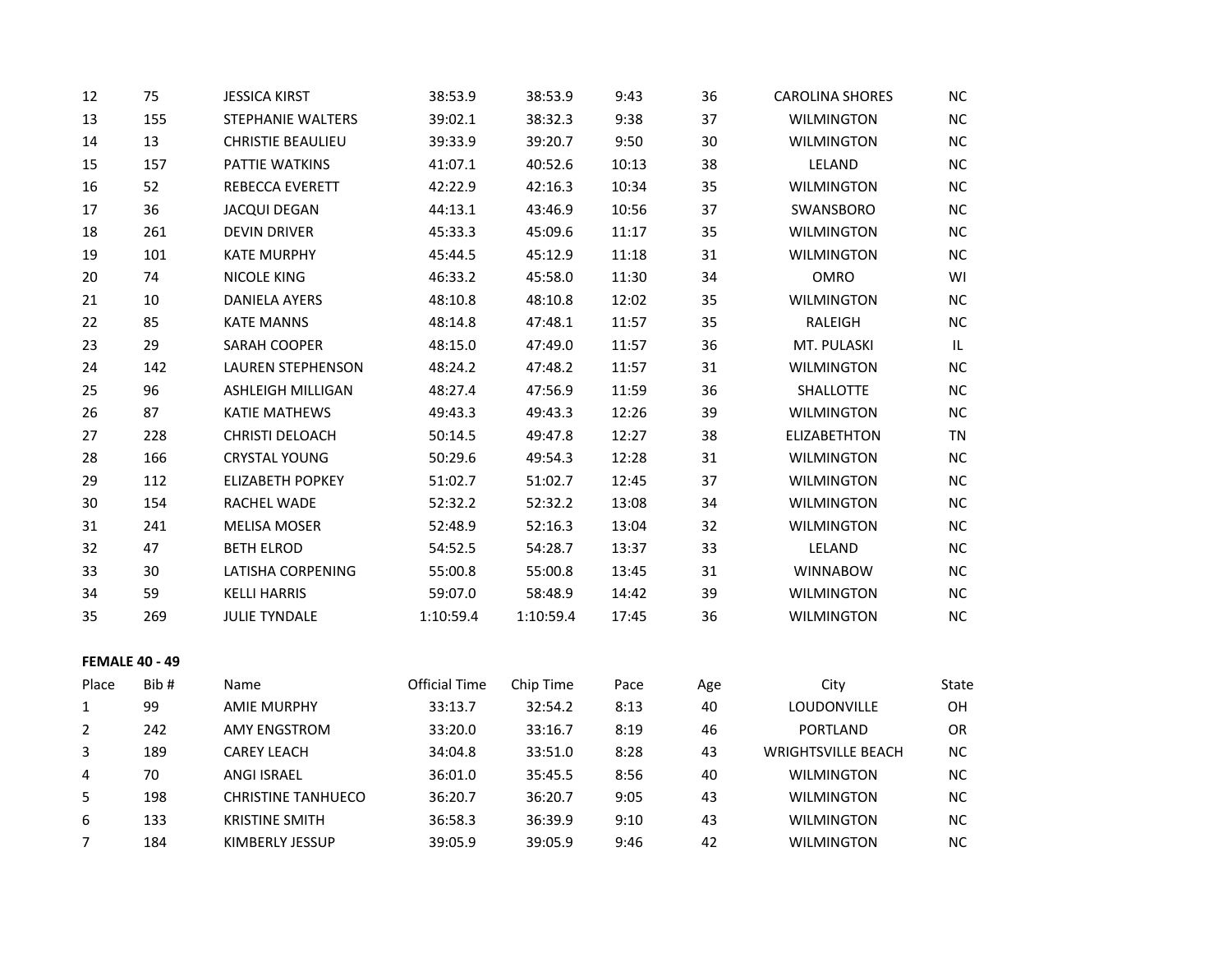| 12                    | 75   | <b>JESSICA KIRST</b>      | 38:53.9              | 38:53.9   | 9:43  | 36  | <b>CAROLINA SHORES</b>    | $NC$      |
|-----------------------|------|---------------------------|----------------------|-----------|-------|-----|---------------------------|-----------|
| 13                    | 155  | STEPHANIE WALTERS         | 39:02.1              | 38:32.3   | 9:38  | 37  | <b>WILMINGTON</b>         | $NC$      |
| 14                    | 13   | CHRISTIE BEAULIEU         | 39:33.9              | 39:20.7   | 9:50  | 30  | <b>WILMINGTON</b>         | $NC$      |
| 15                    | 157  | PATTIE WATKINS            | 41:07.1              | 40:52.6   | 10:13 | 38  | LELAND                    | NC        |
| 16                    | 52   | REBECCA EVERETT           | 42:22.9              | 42:16.3   | 10:34 | 35  | <b>WILMINGTON</b>         | $NC$      |
| 17                    | 36   | <b>JACQUI DEGAN</b>       | 44:13.1              | 43:46.9   | 10:56 | 37  | SWANSBORO                 | NC        |
| 18                    | 261  | <b>DEVIN DRIVER</b>       | 45:33.3              | 45:09.6   | 11:17 | 35  | <b>WILMINGTON</b>         | $NC$      |
| 19                    | 101  | <b>KATE MURPHY</b>        | 45:44.5              | 45:12.9   | 11:18 | 31  | <b>WILMINGTON</b>         | <b>NC</b> |
| 20                    | 74   | <b>NICOLE KING</b>        | 46:33.2              | 45:58.0   | 11:30 | 34  | OMRO                      | WI        |
| 21                    | 10   | <b>DANIELA AYERS</b>      | 48:10.8              | 48:10.8   | 12:02 | 35  | <b>WILMINGTON</b>         | <b>NC</b> |
| 22                    | 85   | <b>KATE MANNS</b>         | 48:14.8              | 47:48.1   | 11:57 | 35  | RALEIGH                   | <b>NC</b> |
| 23                    | 29   | SARAH COOPER              | 48:15.0              | 47:49.0   | 11:57 | 36  | MT. PULASKI               | IL.       |
| 24                    | 142  | <b>LAUREN STEPHENSON</b>  | 48:24.2              | 47:48.2   | 11:57 | 31  | <b>WILMINGTON</b>         | NC        |
| 25                    | 96   | ASHLEIGH MILLIGAN         | 48:27.4              | 47:56.9   | 11:59 | 36  | SHALLOTTE                 | <b>NC</b> |
| 26                    | 87   | <b>KATIE MATHEWS</b>      | 49:43.3              | 49:43.3   | 12:26 | 39  | <b>WILMINGTON</b>         | NC        |
| 27                    | 228  | CHRISTI DELOACH           | 50:14.5              | 49:47.8   | 12:27 | 38  | <b>ELIZABETHTON</b>       | <b>TN</b> |
| 28                    | 166  | <b>CRYSTAL YOUNG</b>      | 50:29.6              | 49:54.3   | 12:28 | 31  | <b>WILMINGTON</b>         | $NC$      |
| 29                    | 112  | ELIZABETH POPKEY          | 51:02.7              | 51:02.7   | 12:45 | 37  | <b>WILMINGTON</b>         | <b>NC</b> |
| 30                    | 154  | RACHEL WADE               | 52:32.2              | 52:32.2   | 13:08 | 34  | <b>WILMINGTON</b>         | NC        |
| 31                    | 241  | <b>MELISA MOSER</b>       | 52:48.9              | 52:16.3   | 13:04 | 32  | <b>WILMINGTON</b>         | <b>NC</b> |
| 32                    | 47   | <b>BETH ELROD</b>         | 54:52.5              | 54:28.7   | 13:37 | 33  | LELAND                    | $NC$      |
| 33                    | 30   | LATISHA CORPENING         | 55:00.8              | 55:00.8   | 13:45 | 31  | <b>WINNABOW</b>           | NC        |
| 34                    | 59   | <b>KELLI HARRIS</b>       | 59:07.0              | 58:48.9   | 14:42 | 39  | <b>WILMINGTON</b>         | $NC$      |
| 35                    | 269  | <b>JULIE TYNDALE</b>      | 1:10:59.4            | 1:10:59.4 | 17:45 | 36  | <b>WILMINGTON</b>         | NC        |
| <b>FEMALE 40 - 49</b> |      |                           |                      |           |       |     |                           |           |
| Place                 | Bib# | Name                      | <b>Official Time</b> | Chip Time | Pace  | Age | City                      | State     |
| $\mathbf{1}$          | 99   | <b>AMIE MURPHY</b>        | 33:13.7              | 32:54.2   | 8:13  | 40  | LOUDONVILLE               | OH        |
| $\overline{2}$        | 242  | <b>AMY ENGSTROM</b>       | 33:20.0              | 33:16.7   | 8:19  | 46  | PORTLAND                  | OR        |
| 3                     | 189  | <b>CAREY LEACH</b>        | 34:04.8              | 33:51.0   | 8:28  | 43  | <b>WRIGHTSVILLE BEACH</b> | <b>NC</b> |
| 4                     | 70   | <b>ANGI ISRAEL</b>        | 36:01.0              | 35:45.5   | 8:56  | 40  | <b>WILMINGTON</b>         | <b>NC</b> |
| 5                     | 198  | <b>CHRISTINE TANHUECO</b> | 36:20.7              | 36:20.7   | 9:05  | 43  | <b>WILMINGTON</b>         | $NC$      |
| 6                     | 133  | <b>KRISTINE SMITH</b>     | 36:58.3              | 36:39.9   | 9:10  | 43  | WILMINGTON                | <b>NC</b> |
| 7                     | 184  | KIMBERLY JESSUP           | 39:05.9              | 39:05.9   | 9:46  | 42  | <b>WILMINGTON</b>         | <b>NC</b> |
|                       |      |                           |                      |           |       |     |                           |           |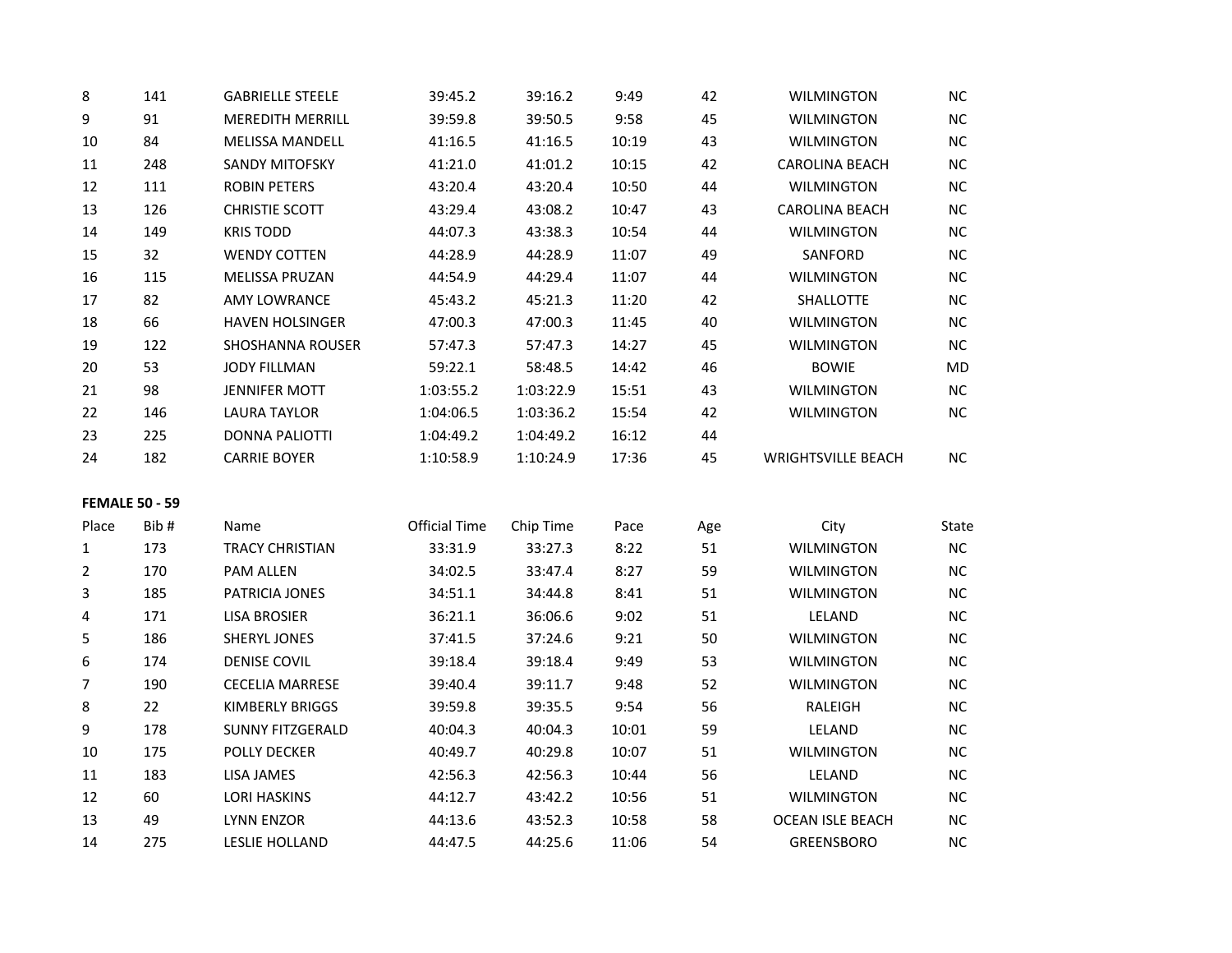| 8              | 141                   | <b>GABRIELLE STEELE</b> | 39:45.2              | 39:16.2   | 9:49  | 42  | <b>WILMINGTON</b>         | <b>NC</b> |
|----------------|-----------------------|-------------------------|----------------------|-----------|-------|-----|---------------------------|-----------|
| 9              | 91                    | <b>MEREDITH MERRILL</b> | 39:59.8              | 39:50.5   | 9:58  | 45  | <b>WILMINGTON</b>         | NC        |
| $10\,$         | 84                    | <b>MELISSA MANDELL</b>  | 41:16.5              | 41:16.5   | 10:19 | 43  | <b>WILMINGTON</b>         | NC        |
| 11             | 248                   | <b>SANDY MITOFSKY</b>   | 41:21.0              | 41:01.2   | 10:15 | 42  | <b>CAROLINA BEACH</b>     | NC        |
| 12             | 111                   | ROBIN PETERS            | 43:20.4              | 43:20.4   | 10:50 | 44  | <b>WILMINGTON</b>         | NC        |
| 13             | 126                   | <b>CHRISTIE SCOTT</b>   | 43:29.4              | 43:08.2   | 10:47 | 43  | <b>CAROLINA BEACH</b>     | NC        |
| 14             | 149                   | <b>KRIS TODD</b>        | 44:07.3              | 43:38.3   | 10:54 | 44  | <b>WILMINGTON</b>         | NC        |
| 15             | 32                    | <b>WENDY COTTEN</b>     | 44:28.9              | 44:28.9   | 11:07 | 49  | SANFORD                   | NC        |
| 16             | 115                   | <b>MELISSA PRUZAN</b>   | 44:54.9              | 44:29.4   | 11:07 | 44  | <b>WILMINGTON</b>         | NC        |
| 17             | 82                    | <b>AMY LOWRANCE</b>     | 45:43.2              | 45:21.3   | 11:20 | 42  | SHALLOTTE                 | <b>NC</b> |
| 18             | 66                    | <b>HAVEN HOLSINGER</b>  | 47:00.3              | 47:00.3   | 11:45 | 40  | <b>WILMINGTON</b>         | NC        |
| 19             | 122                   | <b>SHOSHANNA ROUSER</b> | 57:47.3              | 57:47.3   | 14:27 | 45  | WILMINGTON                | NC        |
| 20             | 53                    | <b>JODY FILLMAN</b>     | 59:22.1              | 58:48.5   | 14:42 | 46  | <b>BOWIE</b>              | MD        |
| 21             | 98                    | <b>JENNIFER MOTT</b>    | 1:03:55.2            | 1:03:22.9 | 15:51 | 43  | <b>WILMINGTON</b>         | NC        |
| 22             | 146                   | <b>LAURA TAYLOR</b>     | 1:04:06.5            | 1:03:36.2 | 15:54 | 42  | <b>WILMINGTON</b>         | NC        |
| 23             | 225                   | <b>DONNA PALIOTTI</b>   | 1:04:49.2            | 1:04:49.2 | 16:12 | 44  |                           |           |
| 24             | 182                   | <b>CARRIE BOYER</b>     | 1:10:58.9            | 1:10:24.9 | 17:36 | 45  | <b>WRIGHTSVILLE BEACH</b> | NC.       |
|                | <b>FEMALE 50 - 59</b> |                         |                      |           |       |     |                           |           |
| Place          | Bib#                  | Name                    | <b>Official Time</b> | Chip Time | Pace  | Age | City                      | State     |
| 1              | 173                   | <b>TRACY CHRISTIAN</b>  | 33:31.9              | 33:27.3   | 8:22  | 51  | <b>WILMINGTON</b>         | NC        |
| $\overline{2}$ | 170                   | <b>PAM ALLEN</b>        | 34:02.5              | 33:47.4   | 8:27  | 59  | <b>WILMINGTON</b>         | NC        |
| 3              | 185                   | PATRICIA JONES          | 34:51.1              | 34:44.8   | 8:41  | 51  | <b>WILMINGTON</b>         | NC        |
| 4              | 171                   | <b>LISA BROSIER</b>     | 36:21.1              | 36:06.6   | 9:02  | 51  | LELAND                    | <b>NC</b> |
| 5              | 186                   | <b>SHERYL JONES</b>     | 37:41.5              | 37:24.6   | 9:21  | 50  | <b>WILMINGTON</b>         | NC        |
| 6              | 174                   | <b>DENISE COVIL</b>     | 39:18.4              | 39:18.4   | 9:49  | 53  | <b>WILMINGTON</b>         | NC        |
| 7              | 190                   | <b>CECELIA MARRESE</b>  | 39:40.4              | 39:11.7   | 9:48  | 52  | <b>WILMINGTON</b>         | NC        |
| 8              | 22                    | <b>KIMBERLY BRIGGS</b>  | 39:59.8              | 39:35.5   | 9:54  | 56  | RALEIGH                   | <b>NC</b> |
| 9              | 178                   | <b>SUNNY FITZGERALD</b> | 40:04.3              | 40:04.3   | 10:01 | 59  | LELAND                    | NC        |
| 10             | 175                   | <b>POLLY DECKER</b>     | 40:49.7              | 40:29.8   | 10:07 | 51  | <b>WILMINGTON</b>         | <b>NC</b> |
| 11             | 183                   | LISA JAMES              | 42:56.3              | 42:56.3   | 10:44 | 56  | LELAND                    | <b>NC</b> |
| 12             | 60                    | <b>LORI HASKINS</b>     | 44:12.7              | 43:42.2   | 10:56 | 51  | <b>WILMINGTON</b>         | NC        |
| 13             | 49                    | <b>LYNN ENZOR</b>       | 44:13.6              | 43:52.3   | 10:58 | 58  | <b>OCEAN ISLE BEACH</b>   | <b>NC</b> |
| 14             | 275                   | <b>LESLIE HOLLAND</b>   | 44:47.5              | 44:25.6   | 11:06 | 54  | <b>GREENSBORO</b>         | NC        |